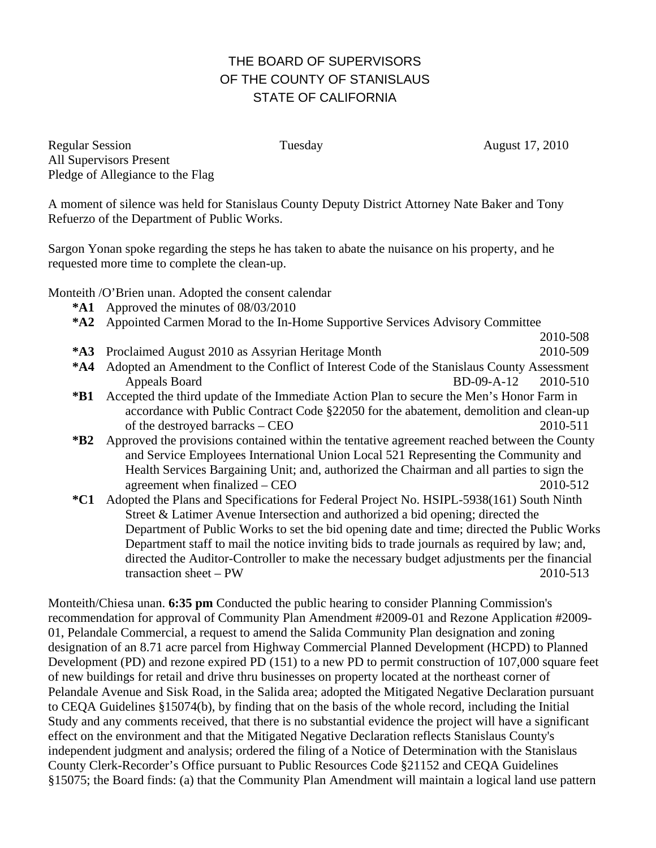## THE BOARD OF SUPERVISORS OF THE COUNTY OF STANISLAUS STATE OF CALIFORNIA

Regular Session Tuesday Tuesday August 17, 2010 All Supervisors Present Pledge of Allegiance to the Flag

A moment of silence was held for Stanislaus County Deputy District Attorney Nate Baker and Tony Refuerzo of the Department of Public Works.

Sargon Yonan spoke regarding the steps he has taken to abate the nuisance on his property, and he requested more time to complete the clean-up.

Monteith /O'Brien unan. Adopted the consent calendar

- **\*A1** Approved the minutes of 08/03/2010
- **\*A2** Appointed Carmen Morad to the In-Home Supportive Services Advisory Committee
- 2010-508 **\*A3** Proclaimed August 2010 as Assyrian Heritage Month 2010-509
- **\*A4** Adopted an Amendment to the Conflict of Interest Code of the Stanislaus County Assessment Appeals Board BD-09-A-12 2010-510
- **\*B1** Accepted the third update of the Immediate Action Plan to secure the Men's Honor Farm in accordance with Public Contract Code §22050 for the abatement, demolition and clean-up of the destroyed barracks – CEO 2010-511
- **\*B2** Approved the provisions contained within the tentative agreement reached between the County and Service Employees International Union Local 521 Representing the Community and Health Services Bargaining Unit; and, authorized the Chairman and all parties to sign the agreement when finalized – CEO 2010-512
- **\*C1** Adopted the Plans and Specifications for Federal Project No. HSIPL-5938(161) South Ninth Street & Latimer Avenue Intersection and authorized a bid opening; directed the Department of Public Works to set the bid opening date and time; directed the Public Works Department staff to mail the notice inviting bids to trade journals as required by law; and, directed the Auditor-Controller to make the necessary budget adjustments per the financial transaction sheet – PW 2010-513

Monteith/Chiesa unan. **6:35 pm** Conducted the public hearing to consider Planning Commission's recommendation for approval of Community Plan Amendment #2009-01 and Rezone Application #2009- 01, Pelandale Commercial, a request to amend the Salida Community Plan designation and zoning designation of an 8.71 acre parcel from Highway Commercial Planned Development (HCPD) to Planned Development (PD) and rezone expired PD (151) to a new PD to permit construction of 107,000 square feet of new buildings for retail and drive thru businesses on property located at the northeast corner of Pelandale Avenue and Sisk Road, in the Salida area; adopted the Mitigated Negative Declaration pursuant to CEQA Guidelines §15074(b), by finding that on the basis of the whole record, including the Initial Study and any comments received, that there is no substantial evidence the project will have a significant effect on the environment and that the Mitigated Negative Declaration reflects Stanislaus County's independent judgment and analysis; ordered the filing of a Notice of Determination with the Stanislaus County Clerk-Recorder's Office pursuant to Public Resources Code §21152 and CEQA Guidelines §15075; the Board finds: (a) that the Community Plan Amendment will maintain a logical land use pattern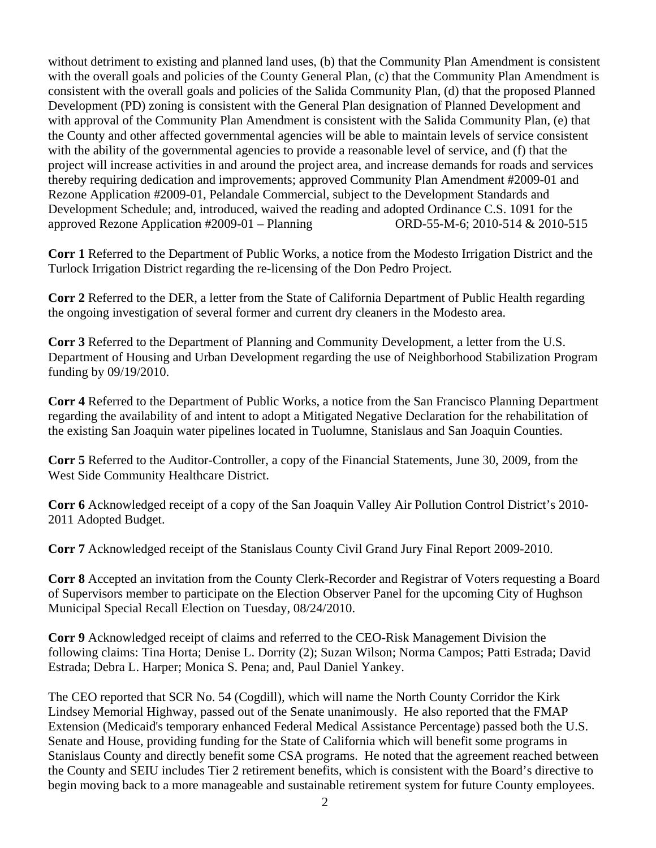without detriment to existing and planned land uses, (b) that the Community Plan Amendment is consistent with the overall goals and policies of the County General Plan, (c) that the Community Plan Amendment is consistent with the overall goals and policies of the Salida Community Plan, (d) that the proposed Planned Development (PD) zoning is consistent with the General Plan designation of Planned Development and with approval of the Community Plan Amendment is consistent with the Salida Community Plan, (e) that the County and other affected governmental agencies will be able to maintain levels of service consistent with the ability of the governmental agencies to provide a reasonable level of service, and (f) that the project will increase activities in and around the project area, and increase demands for roads and services thereby requiring dedication and improvements; approved Community Plan Amendment #2009-01 and Rezone Application #2009-01, Pelandale Commercial, subject to the Development Standards and Development Schedule; and, introduced, waived the reading and adopted Ordinance C.S. 1091 for the approved Rezone Application #2009-01 – Planning ORD-55-M-6; 2010-514 & 2010-515

**Corr 1** Referred to the Department of Public Works, a notice from the Modesto Irrigation District and the Turlock Irrigation District regarding the re-licensing of the Don Pedro Project.

**Corr 2** Referred to the DER, a letter from the State of California Department of Public Health regarding the ongoing investigation of several former and current dry cleaners in the Modesto area.

**Corr 3** Referred to the Department of Planning and Community Development, a letter from the U.S. Department of Housing and Urban Development regarding the use of Neighborhood Stabilization Program funding by 09/19/2010.

**Corr 4** Referred to the Department of Public Works, a notice from the San Francisco Planning Department regarding the availability of and intent to adopt a Mitigated Negative Declaration for the rehabilitation of the existing San Joaquin water pipelines located in Tuolumne, Stanislaus and San Joaquin Counties.

**Corr 5** Referred to the Auditor-Controller, a copy of the Financial Statements, June 30, 2009, from the West Side Community Healthcare District.

**Corr 6** Acknowledged receipt of a copy of the San Joaquin Valley Air Pollution Control District's 2010- 2011 Adopted Budget.

**Corr 7** Acknowledged receipt of the Stanislaus County Civil Grand Jury Final Report 2009-2010.

**Corr 8** Accepted an invitation from the County Clerk-Recorder and Registrar of Voters requesting a Board of Supervisors member to participate on the Election Observer Panel for the upcoming City of Hughson Municipal Special Recall Election on Tuesday, 08/24/2010.

**Corr 9** Acknowledged receipt of claims and referred to the CEO-Risk Management Division the following claims: Tina Horta; Denise L. Dorrity (2); Suzan Wilson; Norma Campos; Patti Estrada; David Estrada; Debra L. Harper; Monica S. Pena; and, Paul Daniel Yankey.

The CEO reported that SCR No. 54 (Cogdill), which will name the North County Corridor the Kirk Lindsey Memorial Highway, passed out of the Senate unanimously. He also reported that the FMAP Extension (Medicaid's temporary enhanced Federal Medical Assistance Percentage) passed both the U.S. Senate and House, providing funding for the State of California which will benefit some programs in Stanislaus County and directly benefit some CSA programs. He noted that the agreement reached between the County and SEIU includes Tier 2 retirement benefits, which is consistent with the Board's directive to begin moving back to a more manageable and sustainable retirement system for future County employees.